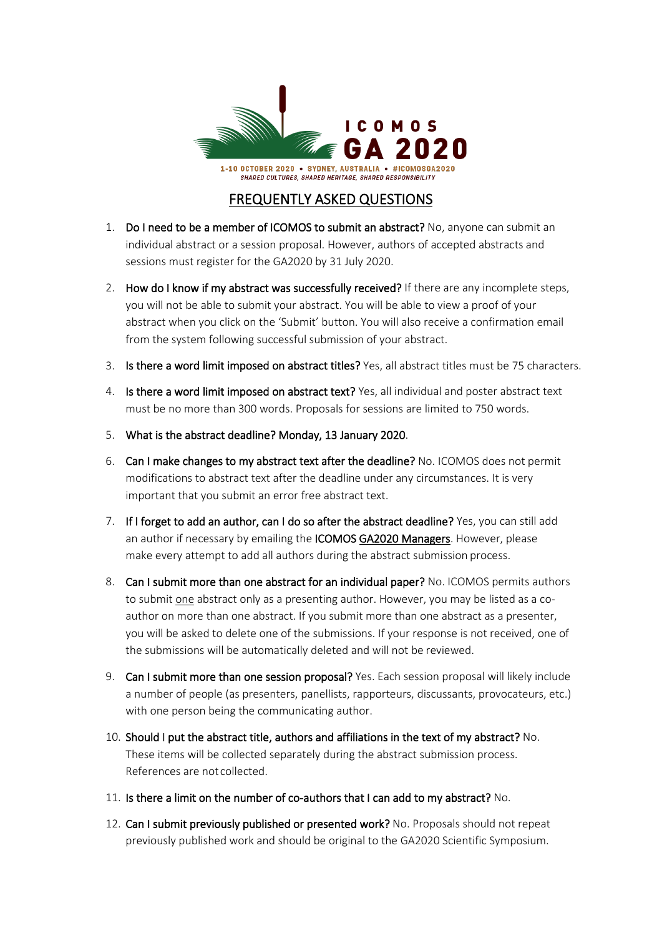

## FREQUENTLY ASKED QUESTIONS

- 1. Do I need to be a member of ICOMOS to submit an abstract? No, anyone can submit an individual abstract or a session proposal. However, authors of accepted abstracts and sessions must register for the GA2020 by 31 July 2020.
- 2. How do I know if my abstract was successfully received? If there are any incomplete steps, you will not be able to submit your abstract. You will be able to view a proof of your abstract when you click on the 'Submit' button. You will also receive a confirmation email from the system following successful submission of your abstract.
- 3. Is there a word limit imposed on abstract titles? Yes, all abstract titles must be 75 characters.
- 4. Is there a word limit imposed on abstract text? Yes, all individual and poster abstract text must be no more than 300 words. Proposals for sessions are limited to 750 words.
- 5. What is the abstract deadline? Monday, 13 January 2020.
- 6. Can I make changes to my abstract text after the deadline? No. ICOMOS does not permit modifications to abstract text after the deadline under any circumstances. It is very important that you submit an error free abstract text.
- 7. If I forget to add an author, can I do so after the abstract deadline? Yes, you can still add an author if necessary by emailing the ICOMOS [GA2020 Managers.](mailto:%20enquiries@icomosga2020.org) However, please make every attempt to add all authors during the abstract submission process.
- 8. Can I submit more than one abstract for an individual paper? No. ICOMOS permits authors to submit one abstract only as a presenting author. However, you may be listed as a coauthor on more than one abstract. If you submit more than one abstract as a presenter, you will be asked to delete one of the submissions. If your response is not received, one of the submissions will be automatically deleted and will not be reviewed.
- 9. Can I submit more than one session proposal? Yes. Each session proposal will likely include a number of people (as presenters, panellists, rapporteurs, discussants, provocateurs, etc.) with one person being the communicating author.
- 10. Should I put the abstract title, authors and affiliations in the text of my abstract? No. These items will be collected separately during the abstract submission process. References are not collected.
- 11. Is there a limit on the number of co-authors that I can add to my abstract? No.
- 12. Can I submit previously published or presented work? No. Proposals should not repeat previously published work and should be original to the GA2020 Scientific Symposium.